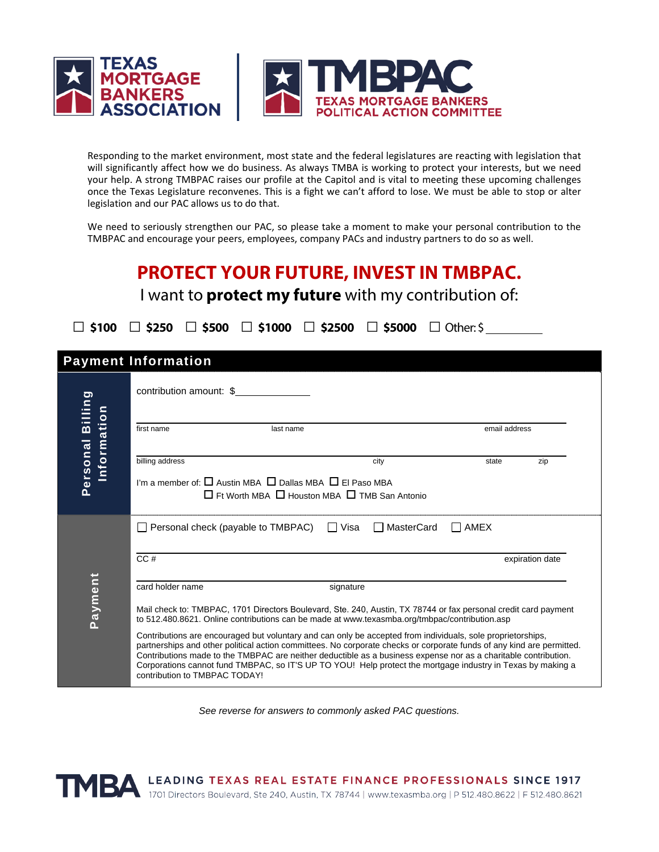

Responding to the market environment, most state and the federal legislatures are reacting with legislation that will significantly affect how we do business. As always TMBA is working to protect your interests, but we need your help. A strong TMBPAC raises our profile at the Capitol and is vital to meeting these upcoming challenges once the Texas Legislature reconvenes. This is a fight we can't afford to lose. We must be able to stop or alter legislation and our PAC allows us to do that.

We need to seriously strengthen our PAC, so please take a moment to make your personal contribution to the TMBPAC and encourage your peers, employees, company PACs and industry partners to do so as well.

| <b>PROTECT YOUR FUTURE, INVEST IN TMBPAC.</b><br>I want to <b>protect my future</b> with my contribution of: |                                                                                                                                                                                                                                                                                                                                                                                                                                                                                                                                                                                                                                                                                                                                                              |             |                 |  |
|--------------------------------------------------------------------------------------------------------------|--------------------------------------------------------------------------------------------------------------------------------------------------------------------------------------------------------------------------------------------------------------------------------------------------------------------------------------------------------------------------------------------------------------------------------------------------------------------------------------------------------------------------------------------------------------------------------------------------------------------------------------------------------------------------------------------------------------------------------------------------------------|-------------|-----------------|--|
| $\Box$ \$5000 $\Box$ Other: \$<br>$\Box$ \$100<br>$\Box$ \$250 $\Box$ \$500 $\Box$ \$1000 $\Box$ \$2500      |                                                                                                                                                                                                                                                                                                                                                                                                                                                                                                                                                                                                                                                                                                                                                              |             |                 |  |
| <b>Payment Information</b>                                                                                   |                                                                                                                                                                                                                                                                                                                                                                                                                                                                                                                                                                                                                                                                                                                                                              |             |                 |  |
| Personal Billing<br>Information                                                                              | contribution amount: \$                                                                                                                                                                                                                                                                                                                                                                                                                                                                                                                                                                                                                                                                                                                                      |             |                 |  |
|                                                                                                              | first name<br>last name                                                                                                                                                                                                                                                                                                                                                                                                                                                                                                                                                                                                                                                                                                                                      |             | email address   |  |
|                                                                                                              | billing address<br>city<br>I'm a member of: $\square$ Austin MBA $\square$ Dallas MBA $\square$ El Paso MBA<br>$\Box$ Ft Worth MBA $\Box$ Houston MBA $\Box$ TMB San Antonio                                                                                                                                                                                                                                                                                                                                                                                                                                                                                                                                                                                 | state       | zip             |  |
| Payment                                                                                                      | $\Box$ Personal check (payable to TMBPAC)<br>□ Visa<br>□ MasterCard                                                                                                                                                                                                                                                                                                                                                                                                                                                                                                                                                                                                                                                                                          | $\Box$ AMEX |                 |  |
|                                                                                                              | CC#                                                                                                                                                                                                                                                                                                                                                                                                                                                                                                                                                                                                                                                                                                                                                          |             | expiration date |  |
|                                                                                                              | card holder name<br>signature<br>Mail check to: TMBPAC, 1701 Directors Boulevard, Ste. 240, Austin, TX 78744 or fax personal credit card payment<br>to 512.480.8621. Online contributions can be made at www.texasmba.org/tmbpac/contribution.asp<br>Contributions are encouraged but voluntary and can only be accepted from individuals, sole proprietorships,<br>partnerships and other political action committees. No corporate checks or corporate funds of any kind are permitted.<br>Contributions made to the TMBPAC are neither deductible as a business expense nor as a charitable contribution.<br>Corporations cannot fund TMBPAC, so IT'S UP TO YOU! Help protect the mortgage industry in Texas by making a<br>contribution to TMBPAC TODAY! |             |                 |  |

*See reverse for answers to commonly asked PAC questions.*